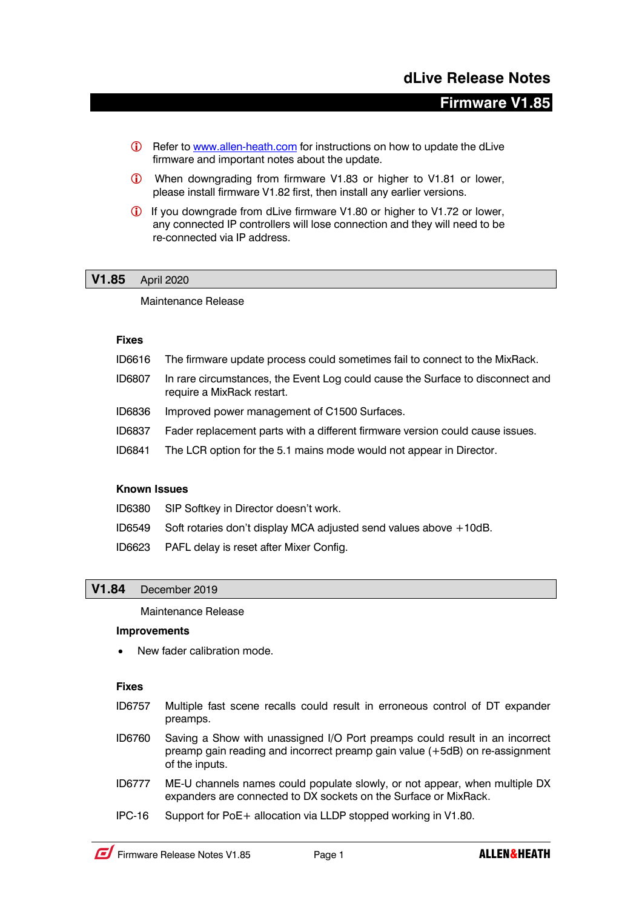# **Firmware V1.85**

- **i** Refer to www.allen-heath.com for instructions on how to update the dLive firmware and important notes about the update.
- **i** When downgrading from firmware V1.83 or higher to V1.81 or lower, please install firmware V1.82 first, then install any earlier versions.
- **i** If you downgrade from dLive firmware V1.80 or higher to V1.72 or lower, any connected IP controllers will lose connection and they will need to be re-connected via IP address.

### **V1.85** April 2020

Maintenance Release

### **Fixes**

- ID6616 The firmware update process could sometimes fail to connect to the MixRack.
- ID6807 In rare circumstances, the Event Log could cause the Surface to disconnect and require a MixRack restart.
- ID6836 Improved power management of C1500 Surfaces.
- ID6837 Fader replacement parts with a different firmware version could cause issues.
- ID6841 The LCR option for the 5.1 mains mode would not appear in Director.

# **Known Issues**

- ID6380 SIP Softkey in Director doesn't work.
- ID6549 Soft rotaries don't display MCA adjusted send values above +10dB.
- ID6623 PAFL delay is reset after Mixer Config.

# **V1.84** December 2019

Maintenance Release

#### **Improvements**

New fader calibration mode.

### **Fixes**

- ID6757 Multiple fast scene recalls could result in erroneous control of DT expander preamps.
- ID6760 Saving a Show with unassigned I/O Port preamps could result in an incorrect preamp gain reading and incorrect preamp gain value (+5dB) on re-assignment of the inputs.
- ID6777 ME-U channels names could populate slowly, or not appear, when multiple DX expanders are connected to DX sockets on the Surface or MixRack.
- IPC-16 Support for PoE+ allocation via LLDP stopped working in V1.80.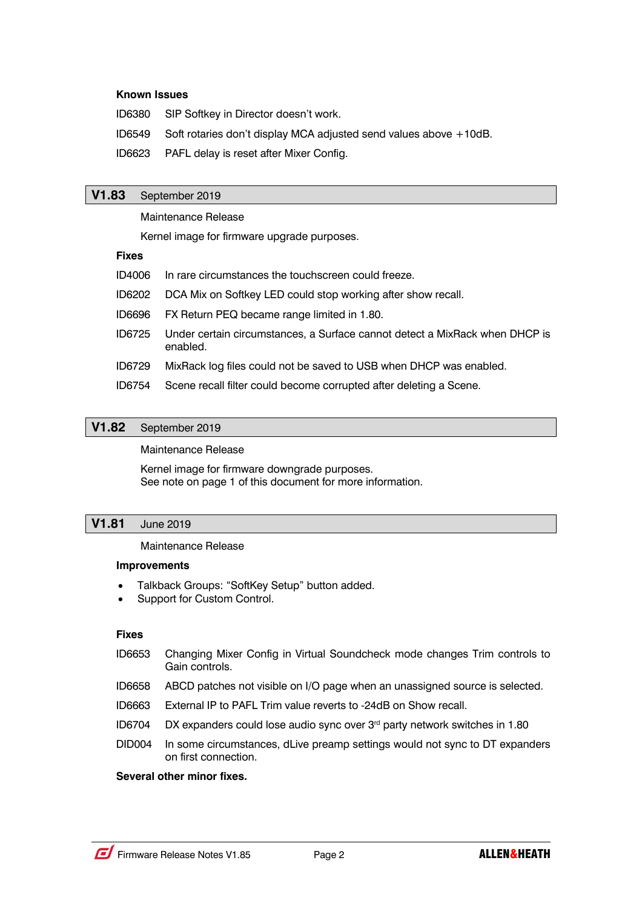### **Known Issues**

ID6380 SIP Softkey in Director doesn't work.

ID6549 Soft rotaries don't display MCA adjusted send values above +10dB.

ID6623 PAFL delay is reset after Mixer Config.

# **V1.83** September 2019

#### Maintenance Release

Kernel image for firmware upgrade purposes.

### **Fixes**

| ID4006 | In rare circumstances the touchscreen could freeze.                                     |
|--------|-----------------------------------------------------------------------------------------|
| ID6202 | DCA Mix on Softkey LED could stop working after show recall.                            |
| ID6696 | FX Return PEQ became range limited in 1.80.                                             |
| ID6725 | Under certain circumstances, a Surface cannot detect a MixRack when DHCP is<br>enabled. |
| ID6729 | MixRack log files could not be saved to USB when DHCP was enabled.                      |
| ID6754 | Scene recall filter could become corrupted after deleting a Scene.                      |

# **V1.82** September 2019

### Maintenance Release

Kernel image for firmware downgrade purposes. See note on page 1 of this document for more information.

# **V1.81** June 2019

# Maintenance Release

#### **Improvements**

- Talkback Groups: "SoftKey Setup" button added.
- Support for Custom Control.

# **Fixes**

- ID6653 Changing Mixer Config in Virtual Soundcheck mode changes Trim controls to Gain controls.
- ID6658 ABCD patches not visible on I/O page when an unassigned source is selected.
- ID6663 External IP to PAFL Trim value reverts to -24dB on Show recall.
- ID6704 DX expanders could lose audio sync over 3rd party network switches in 1.80
- DID004 In some circumstances, dLive preamp settings would not sync to DT expanders on first connection.

# **Several other minor fixes.**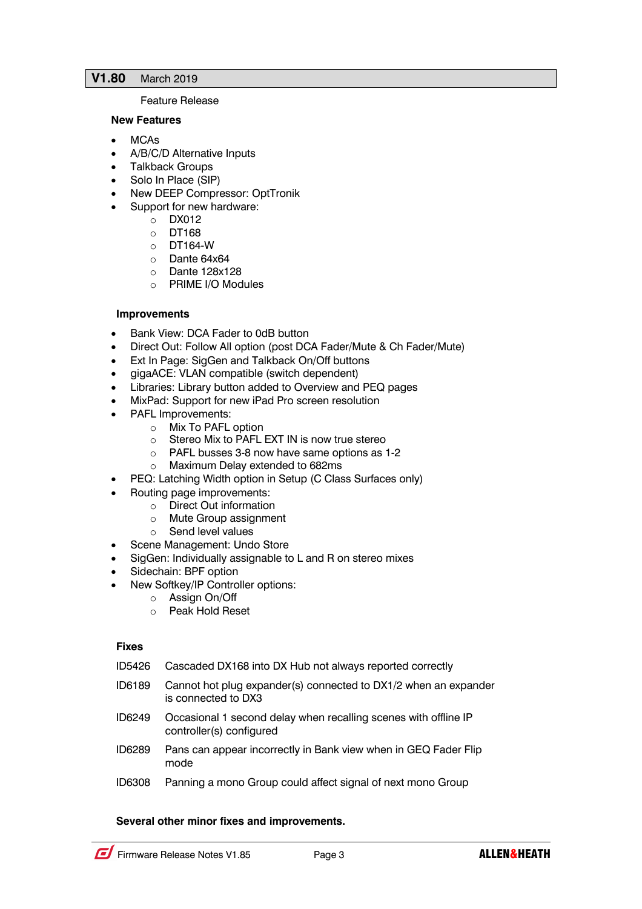# **V1.80** March 2019

### Feature Release

### **New Features**

- MCAs
- A/B/C/D Alternative Inputs
- Talkback Groups
- Solo In Place (SIP)
- New DEEP Compressor: OptTronik
- Support for new hardware:
	- o DX012
		- o DT168
		- $O$  DT164-W
		- o Dante 64x64
		- o Dante 128x128
		- o PRIME I/O Modules

# **Improvements**

- Bank View: DCA Fader to 0dB button
- Direct Out: Follow All option (post DCA Fader/Mute & Ch Fader/Mute)
- Ext In Page: SigGen and Talkback On/Off buttons
- gigaACE: VLAN compatible (switch dependent)
- Libraries: Library button added to Overview and PEQ pages
- MixPad: Support for new iPad Pro screen resolution
- PAFL Improvements:
	- o Mix To PAFL option
	- o Stereo Mix to PAFL EXT IN is now true stereo
	- o PAFL busses 3-8 now have same options as 1-2
	- o Maximum Delay extended to 682ms
- PEQ: Latching Width option in Setup (C Class Surfaces only)
- Routing page improvements:
	- o Direct Out information
	- o Mute Group assignment
	- o Send level values
- Scene Management: Undo Store
- SigGen: Individually assignable to L and R on stereo mixes
- Sidechain: BPF option
- New Softkey/IP Controller options:
	- o Assign On/Off
		- o Peak Hold Reset

#### **Fixes**

- ID5426 Cascaded DX168 into DX Hub not always reported correctly
- ID6189 Cannot hot plug expander(s) connected to DX1/2 when an expander is connected to DX3
- ID6249 Occasional 1 second delay when recalling scenes with offline IP controller(s) configured
- ID6289 Pans can appear incorrectly in Bank view when in GEQ Fader Flip mode
- ID6308 Panning a mono Group could affect signal of next mono Group

# **Several other minor fixes and improvements.**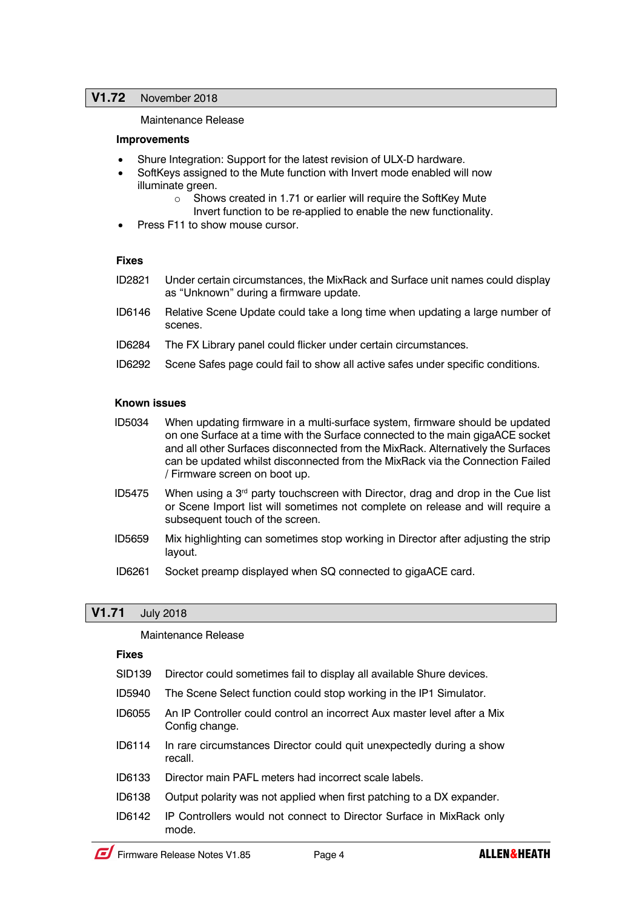# **V1.72** November 2018

Maintenance Release

### **Improvements**

- Shure Integration: Support for the latest revision of ULX-D hardware.
- SoftKeys assigned to the Mute function with Invert mode enabled will now illuminate green.
	- o Shows created in 1.71 or earlier will require the SoftKey Mute Invert function to be re-applied to enable the new functionality.
- Press F11 to show mouse cursor.

### **Fixes**

- ID2821 Under certain circumstances, the MixRack and Surface unit names could display as "Unknown" during a firmware update.
- ID6146 Relative Scene Update could take a long time when updating a large number of scenes.
- ID6284 The FX Library panel could flicker under certain circumstances.
- ID6292 Scene Safes page could fail to show all active safes under specific conditions.

### **Known issues**

- ID5034 When updating firmware in a multi-surface system, firmware should be updated on one Surface at a time with the Surface connected to the main gigaACE socket and all other Surfaces disconnected from the MixRack. Alternatively the Surfaces can be updated whilst disconnected from the MixRack via the Connection Failed / Firmware screen on boot up.
- ID5475 When using a  $3<sup>rd</sup>$  party touchscreen with Director, drag and drop in the Cue list or Scene Import list will sometimes not complete on release and will require a subsequent touch of the screen.
- ID5659 Mix highlighting can sometimes stop working in Director after adjusting the strip layout.
- ID6261 Socket preamp displayed when SQ connected to gigaACE card.

# **V1.71** July 2018

Maintenance Release

#### **Fixes**

- SID139 Director could sometimes fail to display all available Shure devices.
- ID5940 The Scene Select function could stop working in the IP1 Simulator.
- ID6055 An IP Controller could control an incorrect Aux master level after a Mix Config change.
- ID6114 In rare circumstances Director could quit unexpectedly during a show recall.
- ID6133 Director main PAFL meters had incorrect scale labels.
- ID6138 Output polarity was not applied when first patching to a DX expander.
- ID6142 IP Controllers would not connect to Director Surface in MixRack only mode.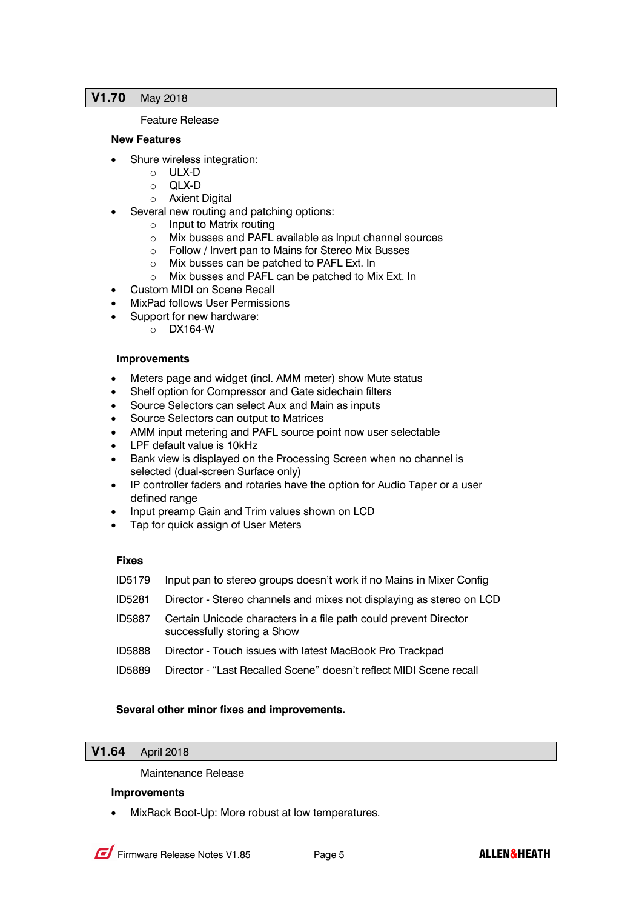### **V1.70** May 2018

### Feature Release

### **New Features**

- Shure wireless integration:
	- o ULX-D
	- o QLX-D
	- o Axient Digital
- Several new routing and patching options:
	- o Input to Matrix routing
	- o Mix busses and PAFL available as Input channel sources
	- o Follow / Invert pan to Mains for Stereo Mix Busses
	- o Mix busses can be patched to PAFL Ext. In
	- o Mix busses and PAFL can be patched to Mix Ext. In
- Custom MIDI on Scene Recall
- MixPad follows User Permissions
	- Support for new hardware:
		- o DX164-W

### **Improvements**

- Meters page and widget (incl. AMM meter) show Mute status
- Shelf option for Compressor and Gate sidechain filters
- Source Selectors can select Aux and Main as inputs
- Source Selectors can output to Matrices
- AMM input metering and PAFL source point now user selectable
- LPF default value is 10kHz
- Bank view is displayed on the Processing Screen when no channel is selected (dual-screen Surface only)
- IP controller faders and rotaries have the option for Audio Taper or a user defined range
- Input preamp Gain and Trim values shown on LCD
- Tap for quick assign of User Meters

# **Fixes**

- ID5179 Input pan to stereo groups doesn't work if no Mains in Mixer Config
- ID5281 Director Stereo channels and mixes not displaying as stereo on LCD
- ID5887 Certain Unicode characters in a file path could prevent Director successfully storing a Show
- ID5888 Director Touch issues with latest MacBook Pro Trackpad
- ID5889 Director "Last Recalled Scene" doesn't reflect MIDI Scene recall

# **Several other minor fixes and improvements.**

# **V1.64** April 2018

# Maintenance Release

# **Improvements**

• MixRack Boot-Up: More robust at low temperatures.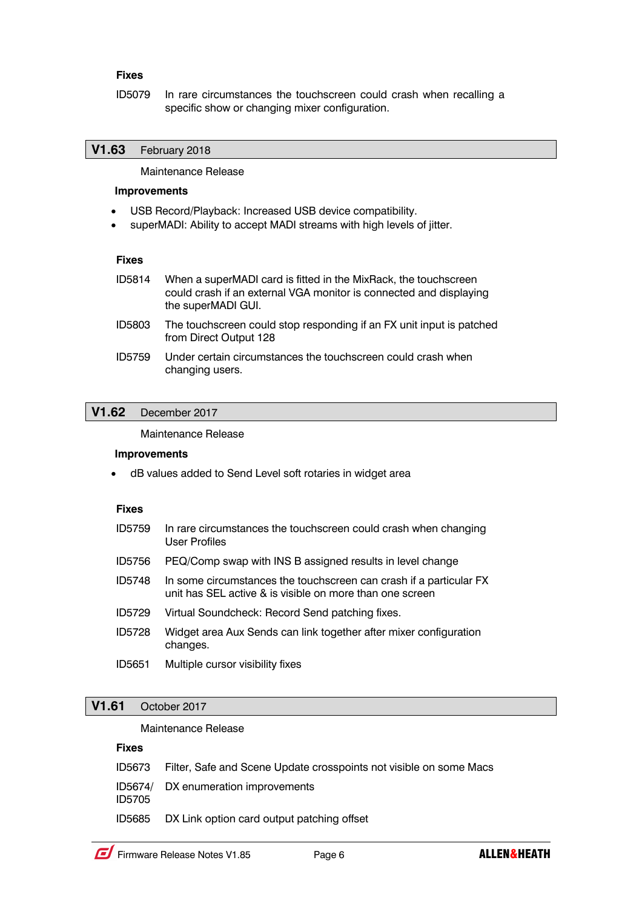# **Fixes**

ID5079 In rare circumstances the touchscreen could crash when recalling a specific show or changing mixer configuration.

# **V1.63** February 2018

Maintenance Release

# **Improvements**

- USB Record/Playback: Increased USB device compatibility.
- superMADI: Ability to accept MADI streams with high levels of jitter.

#### **Fixes**

- ID5814 When a superMADI card is fitted in the MixRack, the touchscreen could crash if an external VGA monitor is connected and displaying the superMADI GUI.
- ID5803 The touchscreen could stop responding if an FX unit input is patched from Direct Output 128
- ID5759 Under certain circumstances the touchscreen could crash when changing users.

### **V1.62** December 2017

### Maintenance Release

#### **Improvements**

• dB values added to Send Level soft rotaries in widget area

### **Fixes**

- ID5759 In rare circumstances the touchscreen could crash when changing User Profiles
- ID5756 PEQ/Comp swap with INS B assigned results in level change
- ID5748 In some circumstances the touchscreen can crash if a particular FX unit has SEL active & is visible on more than one screen
- ID5729 Virtual Soundcheck: Record Send patching fixes.
- ID5728 Widget area Aux Sends can link together after mixer configuration changes.
- ID5651 Multiple cursor visibility fixes

# **V1.61** October 2017

### Maintenance Release

#### **Fixes**

- ID5673 Filter, Safe and Scene Update crosspoints not visible on some Macs
- ID5674/ DX enumeration improvements
- ID5705
- ID5685 DX Link option card output patching offset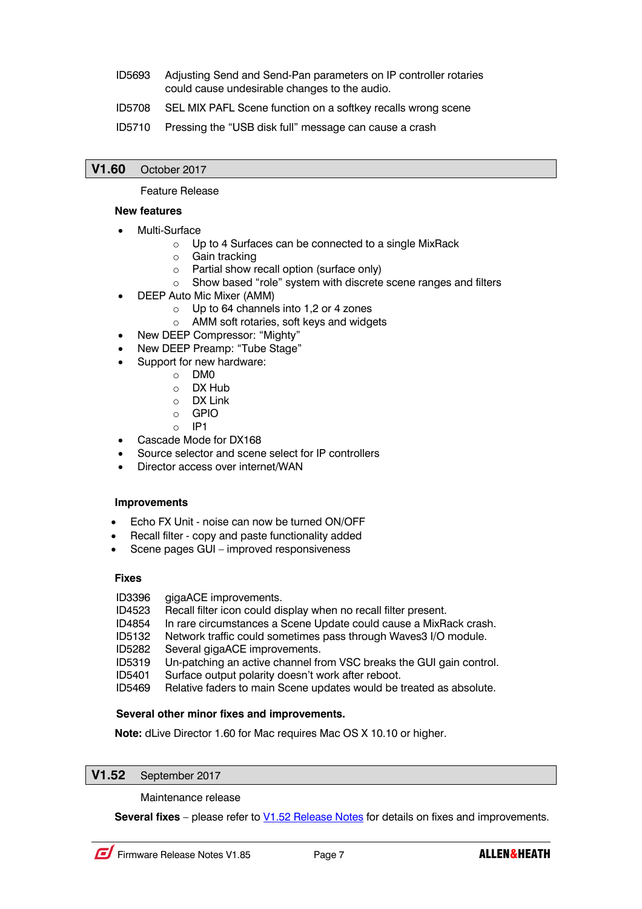- ID5693 Adjusting Send and Send-Pan parameters on IP controller rotaries could cause undesirable changes to the audio.
- ID5708 SEL MIX PAFL Scene function on a softkey recalls wrong scene
- ID5710 Pressing the "USB disk full" message can cause a crash

# **V1.60** October 2017

# Feature Release

### **New features**

- Multi-Surface
	- o Up to 4 Surfaces can be connected to a single MixRack
	- o Gain tracking
	- o Partial show recall option (surface only)
	- o Show based "role" system with discrete scene ranges and filters
- DEEP Auto Mic Mixer (AMM)
	- o Up to 64 channels into 1,2 or 4 zones
	- o AMM soft rotaries, soft keys and widgets
	- New DEEP Compressor: "Mighty"
- New DEEP Preamp: "Tube Stage"
- Support for new hardware:
	- o DM0
	- o DX Hub
	- o DX Link
	- o GPIO
	- o IP1
- Cascade Mode for DX168
- Source selector and scene select for IP controllers
- Director access over internet/WAN

# **Improvements**

- Echo FX Unit noise can now be turned ON/OFF
- Recall filter copy and paste functionality added
- Scene pages GUI improved responsiveness

# **Fixes**

ID3396 gigaACE improvements.

- ID4523 Recall filter icon could display when no recall filter present.
- ID4854 In rare circumstances a Scene Update could cause a MixRack crash.
- ID5132 Network traffic could sometimes pass through Waves3 I/O module.
- ID5282 Several gigaACE improvements.
- ID5319 Un-patching an active channel from VSC breaks the GUI gain control.
- ID5401 Surface output polarity doesn't work after reboot.
- ID5469 Relative faders to main Scene updates would be treated as absolute.

# **Several other minor fixes and improvements.**

**Note:** dLive Director 1.60 for Mac requires Mac OS X 10.10 or higher.

# **V1.52** September 2017

Maintenance release

**Several fixes** – please refer to **V1.52 Release Notes for details on fixes and improvements.**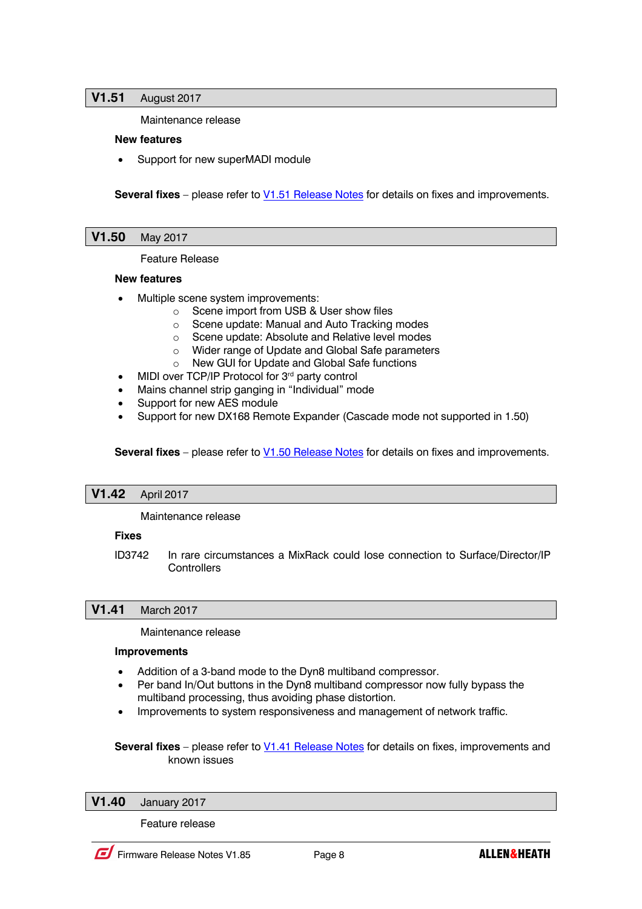# **V1.51** August 2017

Maintenance release

### **New features**

Support for new superMADI module

**Several fixes** – please refer to **V1.51 Release Notes** for details on fixes and improvements.

**V1.50** May 2017

Feature Release

### **New features**

- Multiple scene system improvements:
	- o Scene import from USB & User show files
	- o Scene update: Manual and Auto Tracking modes
	- o Scene update: Absolute and Relative level modes
	- o Wider range of Update and Global Safe parameters
	- o New GUI for Update and Global Safe functions
- MIDI over TCP/IP Protocol for 3<sup>rd</sup> party control
- Mains channel strip ganging in "Individual" mode
- Support for new AES module
- Support for new DX168 Remote Expander (Cascade mode not supported in 1.50)

**Several fixes** – please refer to V1.50 Release Notes for details on fixes and improvements.

# **V1.42** April 2017

Maintenance release

# **Fixes**

ID3742 In rare circumstances a MixRack could lose connection to Surface/Director/IP **Controllers** 

# **V1.41** March 2017

Maintenance release

### **Improvements**

- Addition of a 3-band mode to the Dyn8 multiband compressor.
- Per band In/Out buttons in the Dyn8 multiband compressor now fully bypass the multiband processing, thus avoiding phase distortion.
- Improvements to system responsiveness and management of network traffic.

**Several fixes** – please refer to V1.41 Release Notes for details on fixes, improvements and known issues

**V1.40** January 2017

Feature release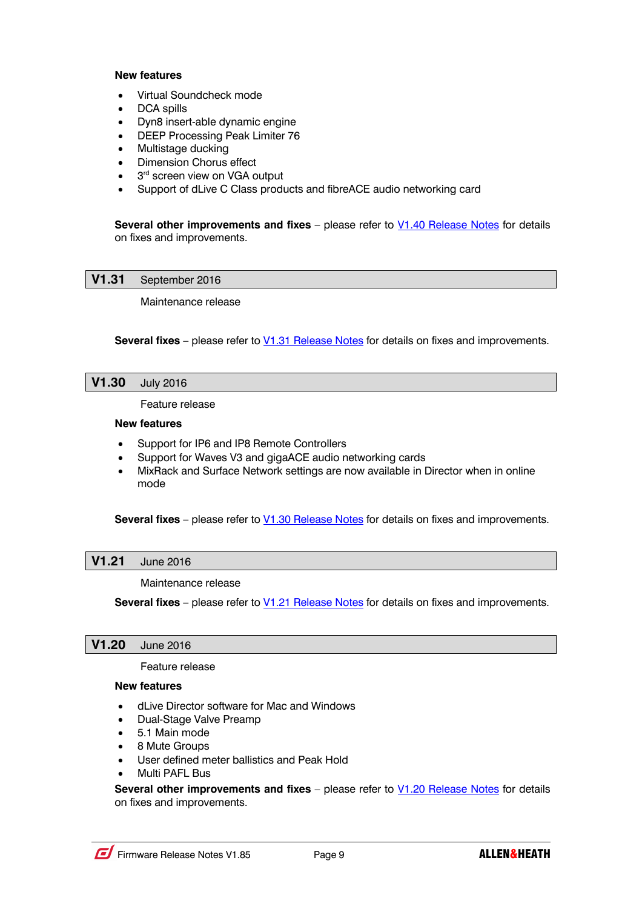### **New features**

- Virtual Soundcheck mode
- DCA spills
- Dyn8 insert-able dynamic engine
- DEEP Processing Peak Limiter 76
- Multistage ducking
- Dimension Chorus effect
- 3<sup>rd</sup> screen view on VGA output
- Support of dLive C Class products and fibreACE audio networking card

**Several other improvements and fixes** – please refer to **V1.40 Release Notes** for details on fixes and improvements.

**V1.31** September 2016

Maintenance release

**Several fixes** – please refer to V1.31 Release Notes for details on fixes and improvements.

# **V1.30** July 2016

Feature release

#### **New features**

- Support for IP6 and IP8 Remote Controllers
- Support for Waves V3 and gigaACE audio networking cards
- MixRack and Surface Network settings are now available in Director when in online mode

**Several fixes** – please refer to V1.30 Release Notes for details on fixes and improvements.

# **V1.21** June 2016

Maintenance release

**Several fixes** – please refer to V1.21 Release Notes for details on fixes and improvements.

# **V1.20** June 2016

Feature release

# **New features**

- dLive Director software for Mac and Windows
- Dual-Stage Valve Preamp
- 5.1 Main mode
- 8 Mute Groups
- User defined meter ballistics and Peak Hold
- Multi PAFL Bus

**Several other improvements and fixes** – please refer to **V1.20 Release Notes** for details on fixes and improvements.